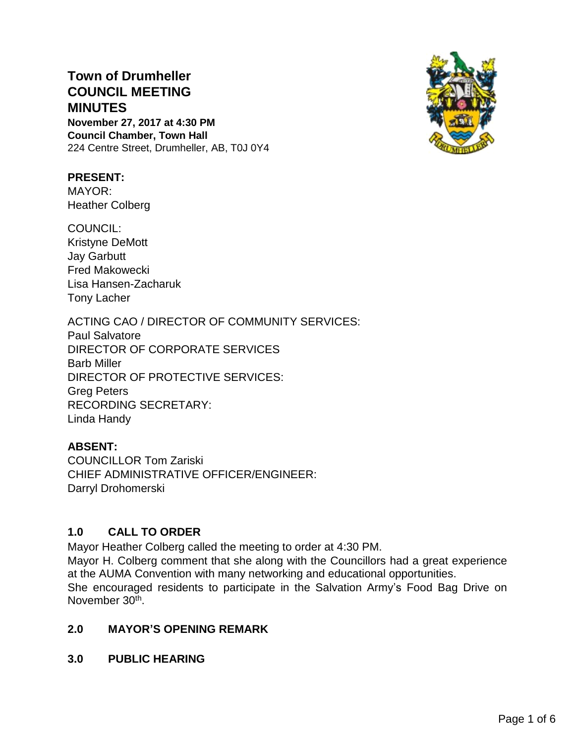# **Town of Drumheller COUNCIL MEETING MINUTES**

**November 27, 2017 at 4:30 PM Council Chamber, Town Hall** 224 Centre Street, Drumheller, AB, T0J 0Y4



## **PRESENT:**

MAYOR: Heather Colberg

COUNCIL: Kristyne DeMott Jay Garbutt Fred Makowecki Lisa Hansen-Zacharuk Tony Lacher

## ACTING CAO / DIRECTOR OF COMMUNITY SERVICES:

Paul Salvatore DIRECTOR OF CORPORATE SERVICES Barb Miller DIRECTOR OF PROTECTIVE SERVICES: Greg Peters RECORDING SECRETARY: Linda Handy

## **ABSENT:**

COUNCILLOR Tom Zariski CHIEF ADMINISTRATIVE OFFICER/ENGINEER: Darryl Drohomerski

## **1.0 CALL TO ORDER**

Mayor Heather Colberg called the meeting to order at 4:30 PM.

Mayor H. Colberg comment that she along with the Councillors had a great experience at the AUMA Convention with many networking and educational opportunities. She encouraged residents to participate in the Salvation Army's Food Bag Drive on November 30<sup>th</sup>.

## **2.0 MAYOR'S OPENING REMARK**

**3.0 PUBLIC HEARING**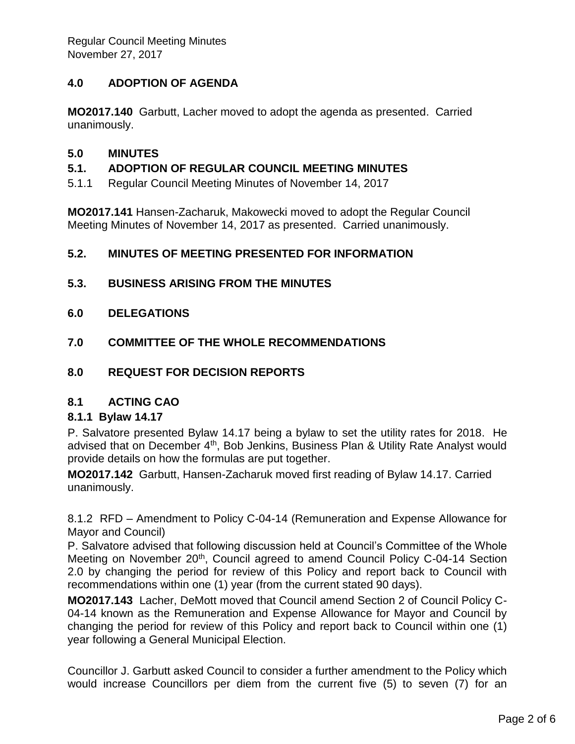## **4.0 ADOPTION OF AGENDA**

**MO2017.140** Garbutt, Lacher moved to adopt the agenda as presented. Carried unanimously.

### **5.0 MINUTES**

## **5.1. ADOPTION OF REGULAR COUNCIL MEETING MINUTES**

5.1.1 Regular Council Meeting Minutes of November 14, 2017

**MO2017.141** Hansen-Zacharuk, Makowecki moved to adopt the Regular Council Meeting Minutes of November 14, 2017 as presented. Carried unanimously.

### **5.2. MINUTES OF MEETING PRESENTED FOR INFORMATION**

- **5.3. BUSINESS ARISING FROM THE MINUTES**
- **6.0 DELEGATIONS**
- **7.0 COMMITTEE OF THE WHOLE RECOMMENDATIONS**
- **8.0 REQUEST FOR DECISION REPORTS**

#### **8.1 ACTING CAO**

#### **8.1.1 Bylaw 14.17**

P. Salvatore presented Bylaw 14.17 being a bylaw to set the utility rates for 2018. He advised that on December  $4<sup>th</sup>$ , Bob Jenkins, Business Plan & Utility Rate Analyst would provide details on how the formulas are put together.

**MO2017.142** Garbutt, Hansen-Zacharuk moved first reading of Bylaw 14.17. Carried unanimously.

8.1.2 RFD – Amendment to Policy C-04-14 (Remuneration and Expense Allowance for Mayor and Council)

P. Salvatore advised that following discussion held at Council's Committee of the Whole Meeting on November 20<sup>th</sup>, Council agreed to amend Council Policy C-04-14 Section 2.0 by changing the period for review of this Policy and report back to Council with recommendations within one (1) year (from the current stated 90 days).

**MO2017.143** Lacher, DeMott moved that Council amend Section 2 of Council Policy C-04-14 known as the Remuneration and Expense Allowance for Mayor and Council by changing the period for review of this Policy and report back to Council within one (1) year following a General Municipal Election.

Councillor J. Garbutt asked Council to consider a further amendment to the Policy which would increase Councillors per diem from the current five (5) to seven (7) for an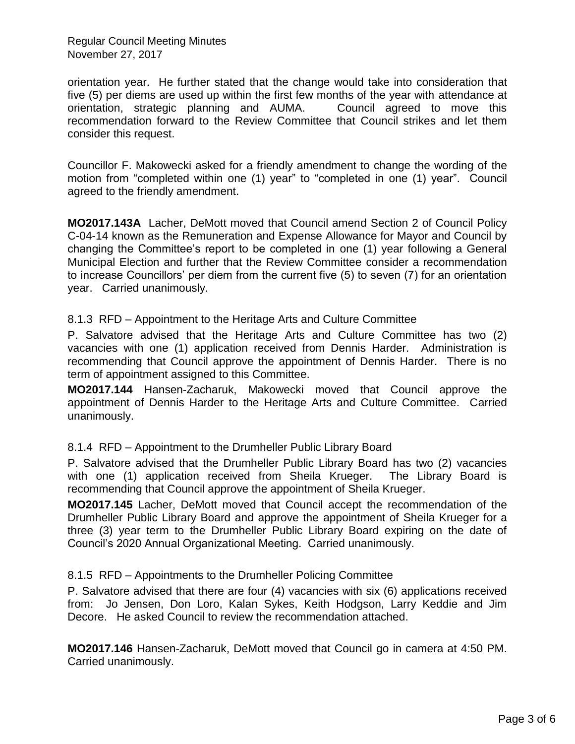Regular Council Meeting Minutes November 27, 2017

orientation year. He further stated that the change would take into consideration that five (5) per diems are used up within the first few months of the year with attendance at orientation, strategic planning and AUMA. Council agreed to move this recommendation forward to the Review Committee that Council strikes and let them consider this request.

Councillor F. Makowecki asked for a friendly amendment to change the wording of the motion from "completed within one (1) year" to "completed in one (1) year". Council agreed to the friendly amendment.

**MO2017.143A** Lacher, DeMott moved that Council amend Section 2 of Council Policy C-04-14 known as the Remuneration and Expense Allowance for Mayor and Council by changing the Committee's report to be completed in one (1) year following a General Municipal Election and further that the Review Committee consider a recommendation to increase Councillors' per diem from the current five (5) to seven (7) for an orientation year. Carried unanimously.

8.1.3 RFD – Appointment to the Heritage Arts and Culture Committee

P. Salvatore advised that the Heritage Arts and Culture Committee has two (2) vacancies with one (1) application received from Dennis Harder. Administration is recommending that Council approve the appointment of Dennis Harder. There is no term of appointment assigned to this Committee.

**MO2017.144** Hansen-Zacharuk, Makowecki moved that Council approve the appointment of Dennis Harder to the Heritage Arts and Culture Committee. Carried unanimously.

8.1.4 RFD – Appointment to the Drumheller Public Library Board

P. Salvatore advised that the Drumheller Public Library Board has two (2) vacancies with one (1) application received from Sheila Krueger. The Library Board is recommending that Council approve the appointment of Sheila Krueger.

**MO2017.145** Lacher, DeMott moved that Council accept the recommendation of the Drumheller Public Library Board and approve the appointment of Sheila Krueger for a three (3) year term to the Drumheller Public Library Board expiring on the date of Council's 2020 Annual Organizational Meeting. Carried unanimously.

8.1.5 RFD – Appointments to the Drumheller Policing Committee

P. Salvatore advised that there are four (4) vacancies with six (6) applications received from: Jo Jensen, Don Loro, Kalan Sykes, Keith Hodgson, Larry Keddie and Jim Decore. He asked Council to review the recommendation attached.

**MO2017.146** Hansen-Zacharuk, DeMott moved that Council go in camera at 4:50 PM. Carried unanimously.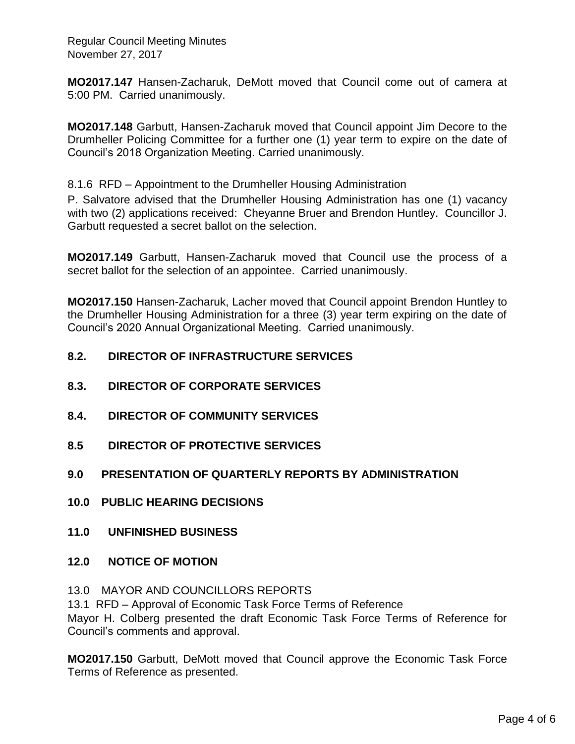Regular Council Meeting Minutes November 27, 2017

**MO2017.147** Hansen-Zacharuk, DeMott moved that Council come out of camera at 5:00 PM. Carried unanimously.

**MO2017.148** Garbutt, Hansen-Zacharuk moved that Council appoint Jim Decore to the Drumheller Policing Committee for a further one (1) year term to expire on the date of Council's 2018 Organization Meeting. Carried unanimously.

#### 8.1.6 RFD – Appointment to the Drumheller Housing Administration

P. Salvatore advised that the Drumheller Housing Administration has one (1) vacancy with two (2) applications received: Cheyanne Bruer and Brendon Huntley. Councillor J. Garbutt requested a secret ballot on the selection.

**MO2017.149** Garbutt, Hansen-Zacharuk moved that Council use the process of a secret ballot for the selection of an appointee. Carried unanimously.

**MO2017.150** Hansen-Zacharuk, Lacher moved that Council appoint Brendon Huntley to the Drumheller Housing Administration for a three (3) year term expiring on the date of Council's 2020 Annual Organizational Meeting. Carried unanimously.

### **8.2. DIRECTOR OF INFRASTRUCTURE SERVICES**

- **8.3. DIRECTOR OF CORPORATE SERVICES**
- **8.4. DIRECTOR OF COMMUNITY SERVICES**
- **8.5 DIRECTOR OF PROTECTIVE SERVICES**

#### **9.0 PRESENTATION OF QUARTERLY REPORTS BY ADMINISTRATION**

- **10.0 PUBLIC HEARING DECISIONS**
- **11.0 UNFINISHED BUSINESS**
- **12.0 NOTICE OF MOTION**
- 13.0 MAYOR AND COUNCILLORS REPORTS

13.1 RFD – Approval of Economic Task Force Terms of Reference

Mayor H. Colberg presented the draft Economic Task Force Terms of Reference for Council's comments and approval.

**MO2017.150** Garbutt, DeMott moved that Council approve the Economic Task Force Terms of Reference as presented.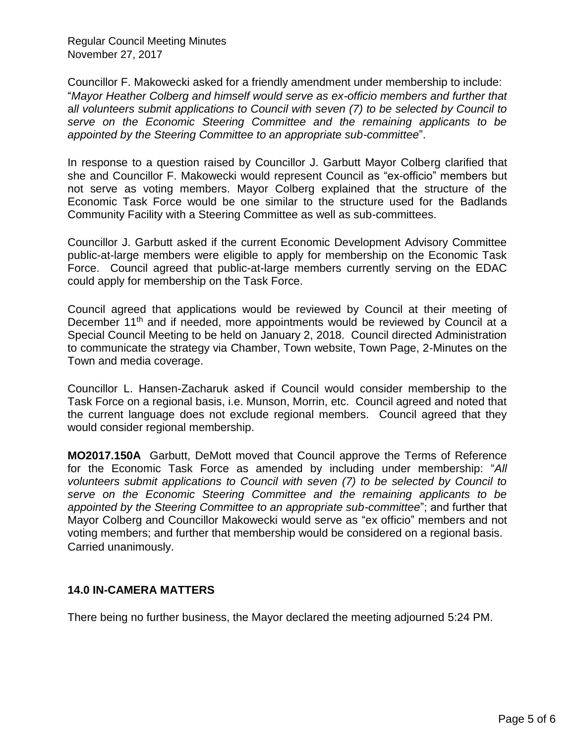Regular Council Meeting Minutes November 27, 2017

Councillor F. Makowecki asked for a friendly amendment under membership to include: "*Mayor Heather Colberg and himself would serve as ex-officio members and further that* a*ll volunteers submit applications to Council with seven (7) to be selected by Council to serve on the Economic Steering Committee and the remaining applicants to be appointed by the Steering Committee to an appropriate sub-committee*".

In response to a question raised by Councillor J. Garbutt Mayor Colberg clarified that she and Councillor F. Makowecki would represent Council as "ex-officio" members but not serve as voting members. Mayor Colberg explained that the structure of the Economic Task Force would be one similar to the structure used for the Badlands Community Facility with a Steering Committee as well as sub-committees.

Councillor J. Garbutt asked if the current Economic Development Advisory Committee public-at-large members were eligible to apply for membership on the Economic Task Force. Council agreed that public-at-large members currently serving on the EDAC could apply for membership on the Task Force.

Council agreed that applications would be reviewed by Council at their meeting of December 11<sup>th</sup> and if needed, more appointments would be reviewed by Council at a Special Council Meeting to be held on January 2, 2018. Council directed Administration to communicate the strategy via Chamber, Town website, Town Page, 2-Minutes on the Town and media coverage.

Councillor L. Hansen-Zacharuk asked if Council would consider membership to the Task Force on a regional basis, i.e. Munson, Morrin, etc. Council agreed and noted that the current language does not exclude regional members. Council agreed that they would consider regional membership.

**MO2017.150A** Garbutt, DeMott moved that Council approve the Terms of Reference for the Economic Task Force as amended by including under membership: "*All volunteers submit applications to Council with seven (7) to be selected by Council to serve on the Economic Steering Committee and the remaining applicants to be appointed by the Steering Committee to an appropriate sub-committee*"; and further that Mayor Colberg and Councillor Makowecki would serve as "ex officio" members and not voting members; and further that membership would be considered on a regional basis. Carried unanimously.

#### **14.0 IN-CAMERA MATTERS**

There being no further business, the Mayor declared the meeting adjourned 5:24 PM.